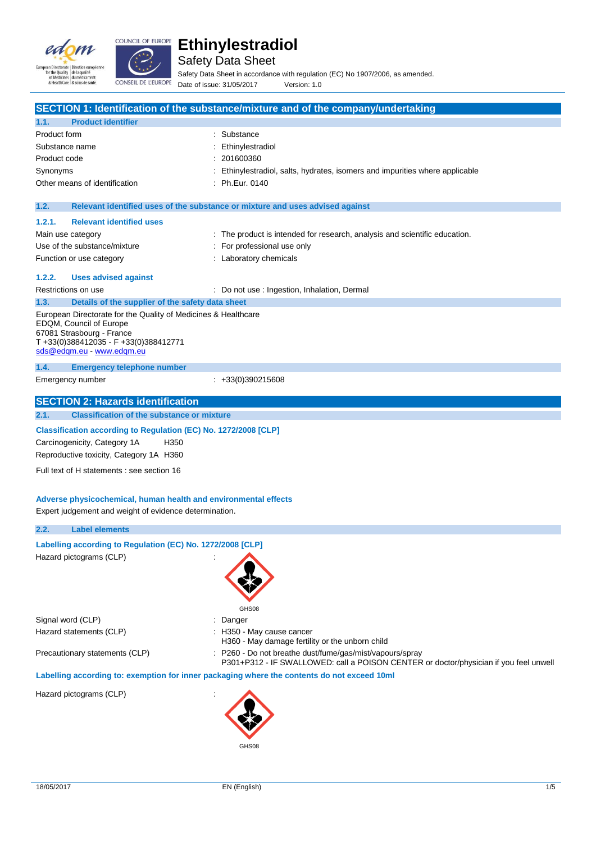



Safety Data Sheet

Safety Data Sheet in accordance with regulation (EC) No 1907/2006, as amended. Date of issue: 31/05/2017 Version: 1.0

|                                                                                                         |                                                                 | SECTION 1: Identification of the substance/mixture and of the company/undertaking     |  |
|---------------------------------------------------------------------------------------------------------|-----------------------------------------------------------------|---------------------------------------------------------------------------------------|--|
| 1.1.                                                                                                    | <b>Product identifier</b>                                       |                                                                                       |  |
| Product form                                                                                            |                                                                 | Substance                                                                             |  |
| Substance name                                                                                          |                                                                 | Ethinylestradiol                                                                      |  |
| Product code                                                                                            |                                                                 | 201600360                                                                             |  |
| Synonyms                                                                                                |                                                                 | Ethinylestradiol, salts, hydrates, isomers and impurities where applicable            |  |
|                                                                                                         | Other means of identification                                   | Ph.Eur. 0140                                                                          |  |
|                                                                                                         |                                                                 |                                                                                       |  |
| 1.2.                                                                                                    |                                                                 | Relevant identified uses of the substance or mixture and uses advised against         |  |
| 1.2.1.                                                                                                  | <b>Relevant identified uses</b>                                 |                                                                                       |  |
|                                                                                                         | Main use category                                               | : The product is intended for research, analysis and scientific education.            |  |
|                                                                                                         | Use of the substance/mixture                                    | For professional use only                                                             |  |
|                                                                                                         | Function or use category                                        | : Laboratory chemicals                                                                |  |
| 1.2.2.                                                                                                  | <b>Uses advised against</b>                                     |                                                                                       |  |
|                                                                                                         | Restrictions on use                                             | : Do not use : Ingestion, Inhalation, Dermal                                          |  |
| 1.3.                                                                                                    | Details of the supplier of the safety data sheet                |                                                                                       |  |
|                                                                                                         | European Directorate for the Quality of Medicines & Healthcare  |                                                                                       |  |
|                                                                                                         | EDQM, Council of Europe                                         |                                                                                       |  |
|                                                                                                         | 67081 Strasbourg - France                                       |                                                                                       |  |
|                                                                                                         | T+33(0)388412035 - F+33(0)388412771<br>sds@edqm.eu www.edqm.eu  |                                                                                       |  |
|                                                                                                         |                                                                 |                                                                                       |  |
| 1.4.                                                                                                    | <b>Emergency telephone number</b>                               | $\div$ +33(0)390215608                                                                |  |
|                                                                                                         | Emergency number                                                |                                                                                       |  |
|                                                                                                         | <b>SECTION 2: Hazards identification</b>                        |                                                                                       |  |
| 2.1.                                                                                                    | <b>Classification of the substance or mixture</b>               |                                                                                       |  |
|                                                                                                         |                                                                 |                                                                                       |  |
| Classification according to Regulation (EC) No. 1272/2008 [CLP]<br>Carcinogenicity, Category 1A<br>H350 |                                                                 |                                                                                       |  |
| Reproductive toxicity, Category 1A H360                                                                 |                                                                 |                                                                                       |  |
|                                                                                                         |                                                                 |                                                                                       |  |
|                                                                                                         | Full text of H statements : see section 16                      |                                                                                       |  |
|                                                                                                         |                                                                 |                                                                                       |  |
|                                                                                                         | Adverse physicochemical, human health and environmental effects |                                                                                       |  |
|                                                                                                         | Expert judgement and weight of evidence determination.          |                                                                                       |  |
| 2.2.                                                                                                    | <b>Label elements</b>                                           |                                                                                       |  |
|                                                                                                         | Labelling according to Regulation (EC) No. 1272/2008 [CLP]      |                                                                                       |  |
|                                                                                                         | Hazard pictograms (CLP)                                         |                                                                                       |  |
|                                                                                                         |                                                                 |                                                                                       |  |
|                                                                                                         |                                                                 |                                                                                       |  |
|                                                                                                         |                                                                 |                                                                                       |  |
|                                                                                                         |                                                                 | GHS08                                                                                 |  |
|                                                                                                         | Signal word (CLP)                                               | Danger                                                                                |  |
|                                                                                                         | Hazard statements (CLP)                                         | : H350 - May cause cancer                                                             |  |
|                                                                                                         |                                                                 | H360 - May damage fertility or the unborn child                                       |  |
|                                                                                                         | Precautionary statements (CLP)                                  | : P260 - Do not breathe dust/fume/gas/mist/vapours/spray                              |  |
|                                                                                                         |                                                                 | P301+P312 - IF SWALLOWED: call a POISON CENTER or doctor/physician if you feel unwell |  |
| Labelling according to: exemption for inner packaging where the contents do not exceed 10ml             |                                                                 |                                                                                       |  |
| Hazard pictograms (CLP)                                                                                 |                                                                 |                                                                                       |  |
|                                                                                                         |                                                                 |                                                                                       |  |
|                                                                                                         |                                                                 |                                                                                       |  |
|                                                                                                         |                                                                 |                                                                                       |  |
|                                                                                                         |                                                                 | GHS08                                                                                 |  |
|                                                                                                         |                                                                 |                                                                                       |  |
|                                                                                                         |                                                                 |                                                                                       |  |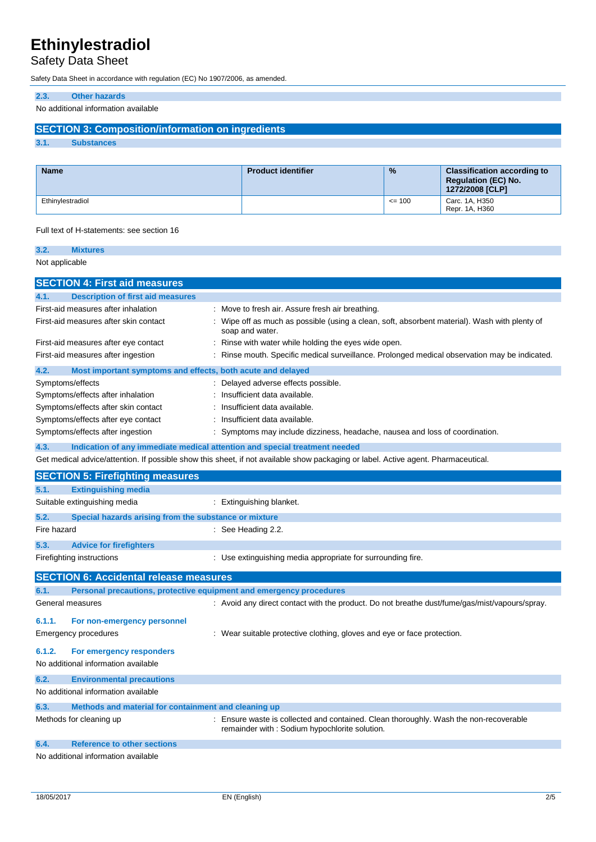## Safety Data Sheet

Safety Data Sheet in accordance with regulation (EC) No 1907/2006, as amended.

## **2.3. Other hazards**

No additional information available

## **SECTION 3: Composition/information on ingredients**

**3.1. Substances**

| <b>Name</b>      | <b>Product identifier</b> | $\frac{9}{6}$ | <b>Classification according to</b><br><b>Requiation (EC) No.</b><br>1272/2008 [CLP] |
|------------------|---------------------------|---------------|-------------------------------------------------------------------------------------|
| Ethinvlestradiol |                           | $\leq$ 100    | Carc. 1A, H350<br>Repr. 1A, H360                                                    |

### Full text of H-statements: see section 16

| 3.2.           | <b>Mixtures</b>                                                     |                                                                                                                                      |
|----------------|---------------------------------------------------------------------|--------------------------------------------------------------------------------------------------------------------------------------|
| Not applicable |                                                                     |                                                                                                                                      |
|                | <b>SECTION 4: First aid measures</b>                                |                                                                                                                                      |
| 4.1.           | <b>Description of first aid measures</b>                            |                                                                                                                                      |
|                | First-aid measures after inhalation                                 | Move to fresh air. Assure fresh air breathing.                                                                                       |
|                | First-aid measures after skin contact                               | Wipe off as much as possible (using a clean, soft, absorbent material). Wash with plenty of<br>soap and water.                       |
|                | First-aid measures after eye contact                                | Rinse with water while holding the eyes wide open.                                                                                   |
|                | First-aid measures after ingestion                                  | Rinse mouth. Specific medical surveillance. Prolonged medical observation may be indicated.                                          |
| 4.2.           | Most important symptoms and effects, both acute and delayed         |                                                                                                                                      |
|                | Symptoms/effects                                                    | Delayed adverse effects possible.                                                                                                    |
|                | Symptoms/effects after inhalation                                   | Insufficient data available.                                                                                                         |
|                | Symptoms/effects after skin contact                                 | Insufficient data available.                                                                                                         |
|                | Symptoms/effects after eye contact                                  | Insufficient data available.                                                                                                         |
|                | Symptoms/effects after ingestion                                    | Symptoms may include dizziness, headache, nausea and loss of coordination.                                                           |
| 4.3.           |                                                                     | Indication of any immediate medical attention and special treatment needed                                                           |
|                |                                                                     | Get medical advice/attention. If possible show this sheet, if not available show packaging or label. Active agent. Pharmaceutical.   |
|                | <b>SECTION 5: Firefighting measures</b>                             |                                                                                                                                      |
| 5.1.           | <b>Extinguishing media</b>                                          |                                                                                                                                      |
|                | Suitable extinguishing media                                        | : Extinguishing blanket.                                                                                                             |
| 5.2.           | Special hazards arising from the substance or mixture               |                                                                                                                                      |
| Fire hazard    |                                                                     | $\therefore$ See Heading 2.2.                                                                                                        |
| 5.3.           | <b>Advice for firefighters</b>                                      |                                                                                                                                      |
|                | Firefighting instructions                                           | Use extinguishing media appropriate for surrounding fire.                                                                            |
|                | <b>SECTION 6: Accidental release measures</b>                       |                                                                                                                                      |
| 6.1.           | Personal precautions, protective equipment and emergency procedures |                                                                                                                                      |
|                | General measures                                                    | : Avoid any direct contact with the product. Do not breathe dust/fume/gas/mist/vapours/spray.                                        |
| 6.1.1.         | For non-emergency personnel                                         |                                                                                                                                      |
|                | Emergency procedures                                                | Wear suitable protective clothing, gloves and eye or face protection.                                                                |
| 6.1.2.         | For emergency responders                                            |                                                                                                                                      |
|                | No additional information available                                 |                                                                                                                                      |
| 6.2.           | <b>Environmental precautions</b>                                    |                                                                                                                                      |
|                | No additional information available                                 |                                                                                                                                      |
| 6.3.           | Methods and material for containment and cleaning up                |                                                                                                                                      |
|                | Methods for cleaning up                                             | Ensure waste is collected and contained. Clean thoroughly. Wash the non-recoverable<br>remainder with: Sodium hypochlorite solution. |
| 6.4.           | <b>Reference to other sections</b>                                  |                                                                                                                                      |
|                | No additional information available                                 |                                                                                                                                      |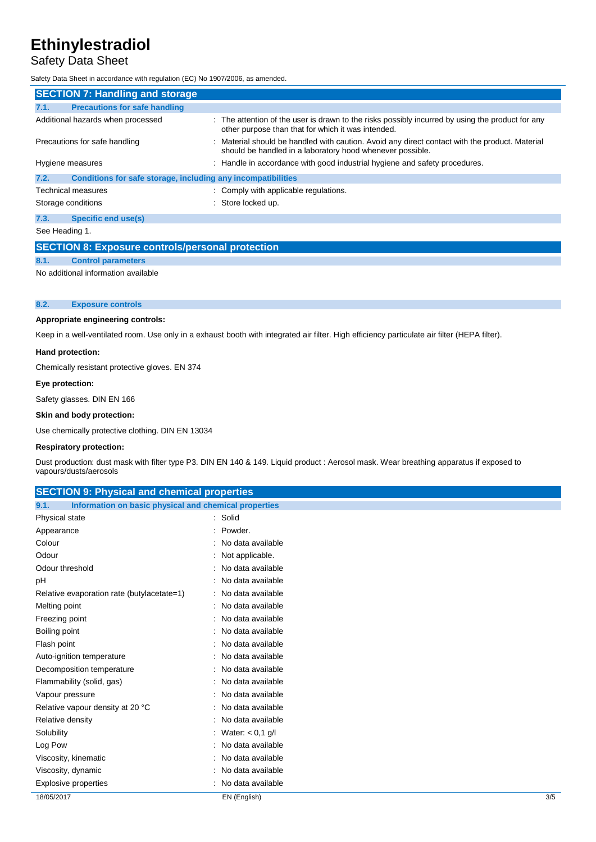## Safety Data Sheet

Safety Data Sheet in accordance with regulation (EC) No 1907/2006, as amended.

| <b>SECTION 7: Handling and storage</b>                               |                                                                                                                                                             |  |  |
|----------------------------------------------------------------------|-------------------------------------------------------------------------------------------------------------------------------------------------------------|--|--|
| <b>Precautions for safe handling</b><br>7.1.                         |                                                                                                                                                             |  |  |
| Additional hazards when processed                                    | : The attention of the user is drawn to the risks possibly incurred by using the product for any<br>other purpose than that for which it was intended.      |  |  |
| Precautions for safe handling                                        | : Material should be handled with caution. Avoid any direct contact with the product. Material<br>should be handled in a laboratory hood whenever possible. |  |  |
| Hygiene measures                                                     | : Handle in accordance with good industrial hygiene and safety procedures.                                                                                  |  |  |
| Conditions for safe storage, including any incompatibilities<br>7.2. |                                                                                                                                                             |  |  |
| Technical measures                                                   | : Comply with applicable regulations.                                                                                                                       |  |  |
| Storage conditions                                                   | : Store locked up.                                                                                                                                          |  |  |
| Specific end use(s)<br>7.3.                                          |                                                                                                                                                             |  |  |
| See Heading 1.                                                       |                                                                                                                                                             |  |  |

## **SECTION 8: Exposure controls/personal protection 8.1. Control parameters**

No additional information available

## **8.2. Exposure controls**

#### **Appropriate engineering controls:**

Keep in a well-ventilated room. Use only in a exhaust booth with integrated air filter. High efficiency particulate air filter (HEPA filter).

#### **Hand protection:**

Chemically resistant protective gloves. EN 374

#### **Eye protection:**

Safety glasses. DIN EN 166

#### **Skin and body protection:**

Use chemically protective clothing. DIN EN 13034

## **Respiratory protection:**

Dust production: dust mask with filter type P3. DIN EN 140 & 149. Liquid product : Aerosol mask. Wear breathing apparatus if exposed to vapours/dusts/aerosols

| <b>SECTION 9: Physical and chemical properties</b>            |                      |     |
|---------------------------------------------------------------|----------------------|-----|
| 9.1.<br>Information on basic physical and chemical properties |                      |     |
| Physical state                                                | : Solid              |     |
| Appearance                                                    | Powder.<br>$\sim$    |     |
| Colour                                                        | : No data available  |     |
| Odour                                                         | : Not applicable.    |     |
| Odour threshold                                               | : No data available  |     |
| рH                                                            | : No data available  |     |
| Relative evaporation rate (butylacetate=1)                    | : No data available  |     |
| Melting point                                                 | : No data available  |     |
| Freezing point                                                | : No data available  |     |
| Boiling point                                                 | No data available    |     |
| Flash point                                                   | : No data available  |     |
| Auto-ignition temperature                                     | : No data available  |     |
| Decomposition temperature                                     | : No data available  |     |
| Flammability (solid, gas)                                     | No data available    |     |
| Vapour pressure                                               | No data available    |     |
| Relative vapour density at 20 °C                              | : No data available  |     |
| Relative density                                              | : No data available  |     |
| Solubility                                                    | : Water: $< 0.1$ g/l |     |
| Log Pow                                                       | No data available    |     |
| Viscosity, kinematic                                          | No data available    |     |
| Viscosity, dynamic                                            | No data available    |     |
| <b>Explosive properties</b>                                   | No data available    |     |
| 18/05/2017                                                    | EN (English)         | 3/5 |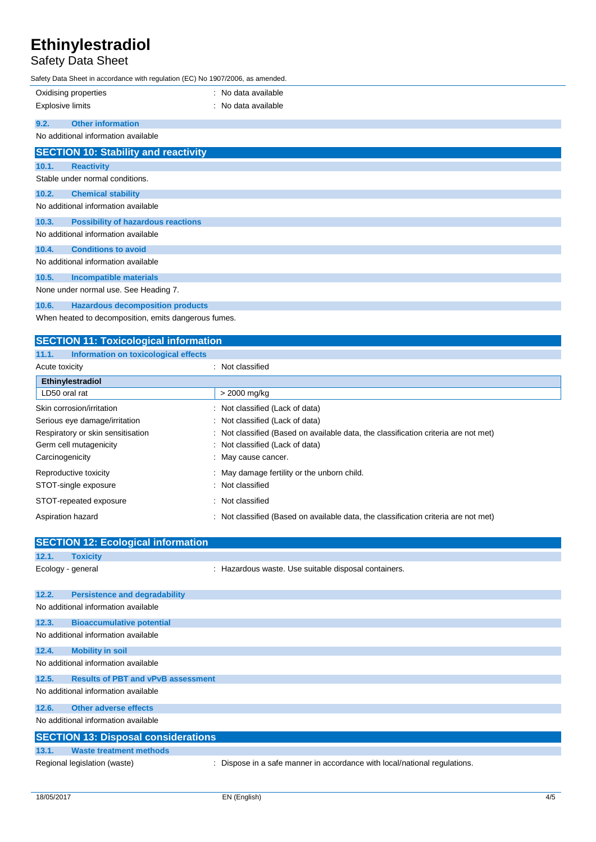## Safety Data Sheet

Safety Data Sheet in accordance with regulation (EC) No 1907/2006, as amended.

| Safety Data Sheet in accordance with regulation (EC) No 1907/2006, as amended. |                                             |                     |
|--------------------------------------------------------------------------------|---------------------------------------------|---------------------|
| Oxidising properties                                                           |                                             | : No data available |
| <b>Explosive limits</b>                                                        |                                             | : No data available |
|                                                                                |                                             |                     |
| 9.2.                                                                           | <b>Other information</b>                    |                     |
|                                                                                | No additional information available         |                     |
|                                                                                | <b>SECTION 10: Stability and reactivity</b> |                     |
| 10.1.                                                                          | <b>Reactivity</b>                           |                     |
|                                                                                | Stable under normal conditions.             |                     |
| 10.2.                                                                          | <b>Chemical stability</b>                   |                     |
|                                                                                | No additional information available         |                     |
| 10.3.                                                                          | <b>Possibility of hazardous reactions</b>   |                     |
|                                                                                | No additional information available         |                     |
| 10.4.                                                                          | <b>Conditions to avoid</b>                  |                     |
|                                                                                | No additional information available         |                     |
| 10.5.                                                                          | <b>Incompatible materials</b>               |                     |
| None under normal use. See Heading 7.                                          |                                             |                     |
| 10.6.                                                                          | <b>Hazardous decomposition products</b>     |                     |

When heated to decomposition, emits dangerous fumes.

| <b>SECTION 11: Toxicological information</b>  |                                                                                     |  |
|-----------------------------------------------|-------------------------------------------------------------------------------------|--|
| Information on toxicological effects<br>11.1. |                                                                                     |  |
| Acute toxicity                                | : Not classified                                                                    |  |
| Ethinylestradiol                              |                                                                                     |  |
| LD50 oral rat                                 | > 2000 mg/kg                                                                        |  |
| Skin corrosion/irritation                     | : Not classified (Lack of data)                                                     |  |
| Serious eye damage/irritation                 | : Not classified (Lack of data)                                                     |  |
| Respiratory or skin sensitisation             | : Not classified (Based on available data, the classification criteria are not met) |  |
| Germ cell mutagenicity                        | : Not classified (Lack of data)                                                     |  |
| Carcinogenicity                               | : May cause cancer.                                                                 |  |
| Reproductive toxicity                         | : May damage fertility or the unborn child.                                         |  |
| STOT-single exposure                          | : Not classified                                                                    |  |
| STOT-repeated exposure                        | : Not classified                                                                    |  |
| Aspiration hazard                             | : Not classified (Based on available data, the classification criteria are not met) |  |

|                   | <b>SECTION 12: Ecological information</b>  |                                                                           |  |
|-------------------|--------------------------------------------|---------------------------------------------------------------------------|--|
| 12.1.             | <b>Toxicity</b>                            |                                                                           |  |
| Ecology - general |                                            | : Hazardous waste. Use suitable disposal containers.                      |  |
| 12.2.             | <b>Persistence and degradability</b>       |                                                                           |  |
|                   | No additional information available        |                                                                           |  |
| 12.3.             | <b>Bioaccumulative potential</b>           |                                                                           |  |
|                   | No additional information available        |                                                                           |  |
| 12.4.             | <b>Mobility in soil</b>                    |                                                                           |  |
|                   | No additional information available        |                                                                           |  |
| 12.5.             | <b>Results of PBT and vPvB assessment</b>  |                                                                           |  |
|                   | No additional information available        |                                                                           |  |
| 12.6.             | <b>Other adverse effects</b>               |                                                                           |  |
|                   | No additional information available        |                                                                           |  |
|                   | <b>SECTION 13: Disposal considerations</b> |                                                                           |  |
| 13.1.             | <b>Waste treatment methods</b>             |                                                                           |  |
|                   | Regional legislation (waste)               | : Dispose in a safe manner in accordance with local/national regulations. |  |